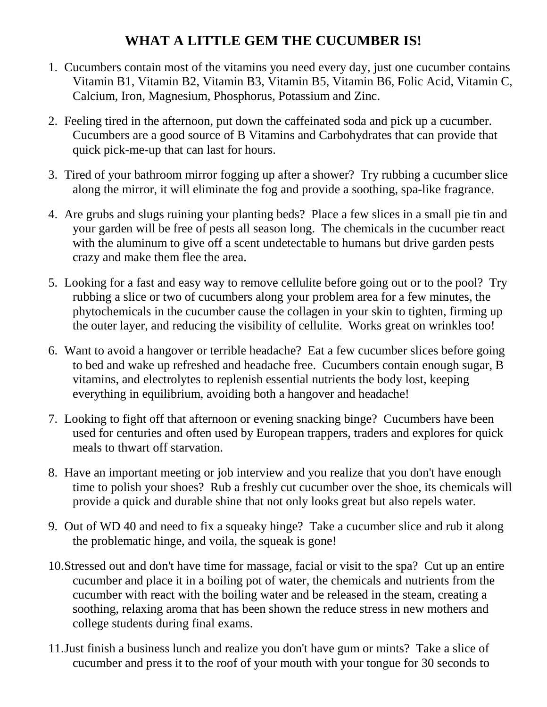## **WHAT A LITTLE GEM THE CUCUMBER IS!**

- 1. Cucumbers contain most of the vitamins you need every day, just one cucumber contains Vitamin B1, Vitamin B2, Vitamin B3, Vitamin B5, Vitamin B6, Folic Acid, Vitamin C, Calcium, Iron, Magnesium, Phosphorus, Potassium and Zinc.
- 2. Feeling tired in the afternoon, put down the caffeinated soda and pick up a cucumber. Cucumbers are a good source of B Vitamins and Carbohydrates that can provide that quick pick-me-up that can last for hours.
- 3. Tired of your bathroom mirror fogging up after a shower? Try rubbing a cucumber slice along the mirror, it will eliminate the fog and provide a soothing, spa-like fragrance.
- 4. Are grubs and slugs ruining your planting beds? Place a few slices in a small pie tin and your garden will be free of pests all season long. The chemicals in the cucumber react with the aluminum to give off a scent undetectable to humans but drive garden pests crazy and make them flee the area.
- 5. Looking for a fast and easy way to remove cellulite before going out or to the pool? Try rubbing a slice or two of cucumbers along your problem area for a few minutes, the phytochemicals in the cucumber cause the collagen in your skin to tighten, firming up the outer layer, and reducing the visibility of cellulite. Works great on wrinkles too!
- 6. Want to avoid a hangover or terrible headache? Eat a few cucumber slices before going to bed and wake up refreshed and headache free. Cucumbers contain enough sugar, B vitamins, and electrolytes to replenish essential nutrients the body lost, keeping everything in equilibrium, avoiding both a hangover and headache!
- 7. Looking to fight off that afternoon or evening snacking binge? Cucumbers have been used for centuries and often used by European trappers, traders and explores for quick meals to thwart off starvation.
- 8. Have an important meeting or job interview and you realize that you don't have enough time to polish your shoes? Rub a freshly cut cucumber over the shoe, its chemicals will provide a quick and durable shine that not only looks great but also repels water.
- 9. Out of WD 40 and need to fix a squeaky hinge? Take a cucumber slice and rub it along the problematic hinge, and voila, the squeak is gone!
- 10.Stressed out and don't have time for massage, facial or visit to the spa? Cut up an entire cucumber and place it in a boiling pot of water, the chemicals and nutrients from the cucumber with react with the boiling water and be released in the steam, creating a soothing, relaxing aroma that has been shown the reduce stress in new mothers and college students during final exams.
- 11.Just finish a business lunch and realize you don't have gum or mints? Take a slice of cucumber and press it to the roof of your mouth with your tongue for 30 seconds to